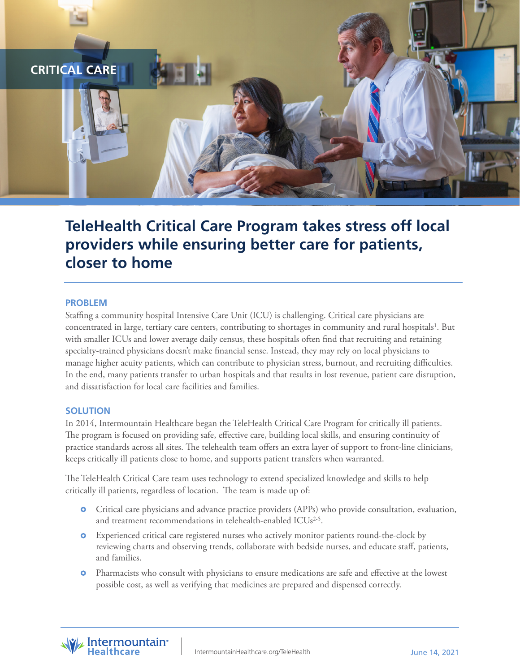

# **TeleHealth Critical Care Program takes stress off local providers while ensuring better care for patients, closer to home**

#### **PROBLEM**

Staffing a community hospital Intensive Care Unit (ICU) is challenging. Critical care physicians are concentrated in large, tertiary care centers, contributing to shortages in community and rural hospitals<sup>1</sup>. But with smaller ICUs and lower average daily census, these hospitals often find that recruiting and retaining specialty-trained physicians doesn't make financial sense. Instead, they may rely on local physicians to manage higher acuity patients, which can contribute to physician stress, burnout, and recruiting difficulties. In the end, many patients transfer to urban hospitals and that results in lost revenue, patient care disruption, and dissatisfaction for local care facilities and families.

## **SOLUTION**

In 2014, Intermountain Healthcare began the TeleHealth Critical Care Program for critically ill patients. The program is focused on providing safe, effective care, building local skills, and ensuring continuity of practice standards across all sites. The telehealth team offers an extra layer of support to front-line clinicians, keeps critically ill patients close to home, and supports patient transfers when warranted.

The TeleHealth Critical Care team uses technology to extend specialized knowledge and skills to help critically ill patients, regardless of location. The team is made up of:

- Critical care physicians and advance practice providers (APPs) who provide consultation, evaluation, and treatment recommendations in telehealth-enabled ICUs<sup>2-5</sup>.
- $\bullet$ Experienced critical care registered nurses who actively monitor patients round-the-clock by reviewing charts and observing trends, collaborate with bedside nurses, and educate staff, patients, and families.
- $\bullet$ Pharmacists who consult with physicians to ensure medications are safe and effective at the lowest possible cost, as well as verifying that medicines are prepared and dispensed correctly.

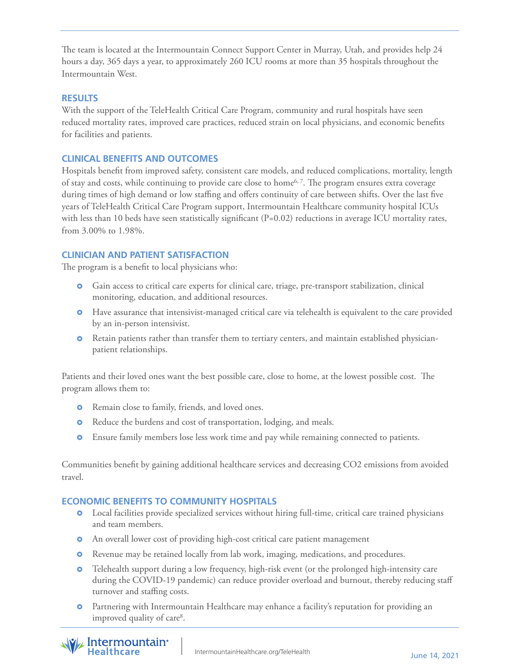The team is located at the Intermountain Connect Support Center in Murray, Utah, and provides help 24 hours a day, 365 days a year, to approximately 260 ICU rooms at more than 35 hospitals throughout the Intermountain West.

## **RESULTS**

With the support of the TeleHealth Critical Care Program, community and rural hospitals have seen reduced mortality rates, improved care practices, reduced strain on local physicians, and economic benefits for facilities and patients.

# **CLINICAL BENEFITS AND OUTCOMES**

Hospitals benefit from improved safety, consistent care models, and reduced complications, mortality, length of stay and costs, while continuing to provide care close to home<sup>6, 7</sup>. The program ensures extra coverage during times of high demand or low staffing and offers continuity of care between shifts. Over the last five years of TeleHealth Critical Care Program support, Intermountain Healthcare community hospital ICUs with less than 10 beds have seen statistically significant (P=0.02) reductions in average ICU mortality rates, from 3.00% to 1.98%.

# **CLINICIAN AND PATIENT SATISFACTION**

The program is a benefit to local physicians who:

- Gain access to critical care experts for clinical care, triage, pre-transport stabilization, clinical monitoring, education, and additional resources.
- Have assurance that intensivist-managed critical care via telehealth is equivalent to the care provided by an in-person intensivist.
- **O** Retain patients rather than transfer them to tertiary centers, and maintain established physicianpatient relationships.

Patients and their loved ones want the best possible care, close to home, at the lowest possible cost. The program allows them to:

- **o** Remain close to family, friends, and loved ones.
- **O** Reduce the burdens and cost of transportation, lodging, and meals.
- Ensure family members lose less work time and pay while remaining connected to patients.

Communities benefit by gaining additional healthcare services and decreasing CO2 emissions from avoided travel.

#### **ECONOMIC BENEFITS TO COMMUNITY HOSPITALS**

- Local facilities provide specialized services without hiring full-time, critical care trained physicians and team members.
- An overall lower cost of providing high-cost critical care patient management
- Revenue may be retained locally from lab work, imaging, medications, and procedures.
- **O** Telehealth support during a low frequency, high-risk event (or the prolonged high-intensity care during the COVID-19 pandemic) can reduce provider overload and burnout, thereby reducing staff turnover and staffing costs.
- Partnering with Intermountain Healthcare may enhance a facility's reputation for providing an improved quality of care<sup>8</sup>.

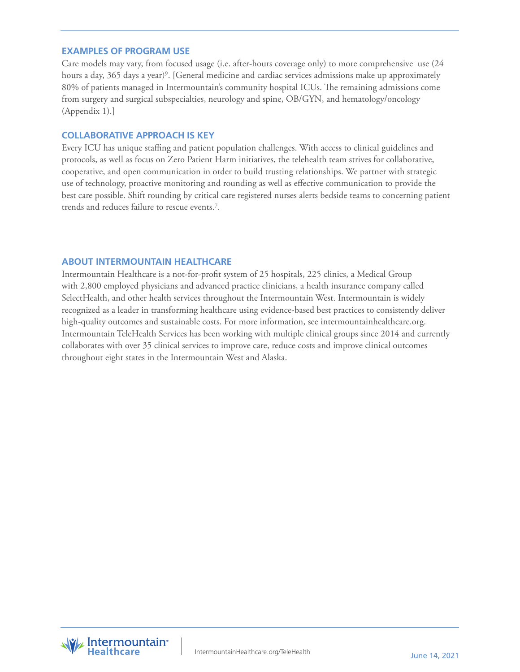## **EXAMPLES OF PROGRAM USE**

Care models may vary, from focused usage (i.e. after-hours coverage only) to more comprehensive use (24 hours a day, 365 days a year)<sup>9</sup>. [General medicine and cardiac services admissions make up approximately 80% of patients managed in Intermountain's community hospital ICUs. The remaining admissions come from surgery and surgical subspecialties, neurology and spine, OB/GYN, and hematology/oncology (Appendix 1).]

# **COLLABORATIVE APPROACH IS KEY**

Every ICU has unique staffing and patient population challenges. With access to clinical guidelines and protocols, as well as focus on Zero Patient Harm initiatives, the telehealth team strives for collaborative, cooperative, and open communication in order to build trusting relationships. We partner with strategic use of technology, proactive monitoring and rounding as well as effective communication to provide the best care possible. Shift rounding by critical care registered nurses alerts bedside teams to concerning patient trends and reduces failure to rescue events.7.

# **ABOUT INTERMOUNTAIN HEALTHCARE**

Intermountain Healthcare is a not-for-profit system of 25 hospitals, 225 clinics, a Medical Group with 2,800 employed physicians and advanced practice clinicians, a health insurance company called SelectHealth, and other health services throughout the Intermountain West. Intermountain is widely recognized as a leader in transforming healthcare using evidence-based best practices to consistently deliver high-quality outcomes and sustainable costs. For more information, see intermountainhealthcare.org. Intermountain TeleHealth Services has been working with multiple clinical groups since 2014 and currently collaborates with over 35 clinical services to improve care, reduce costs and improve clinical outcomes throughout eight states in the Intermountain West and Alaska.